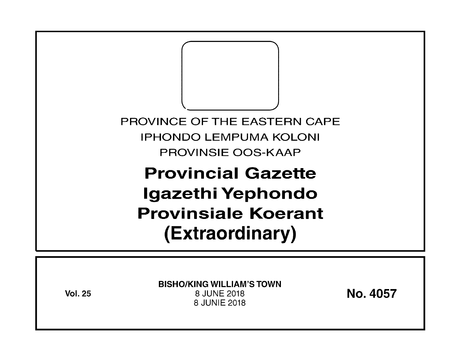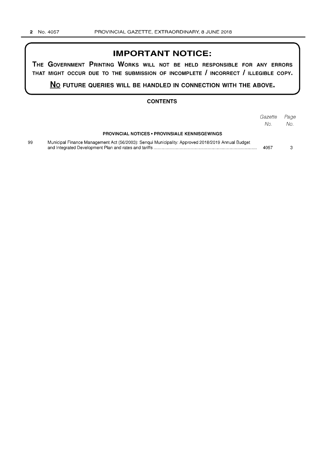# **IMPORTANT NOTICE:**

**THE GOVERNMENT PRINTING WORKS WILL NOT BE HELD RESPONSIBLE FOR ANY ERRORS THAT MIGHT OCCUR DUE TO THE SUBMISSION OF INCOMPLETE I INCORRECT I ILLEGIBLE COPY.** 

**No FUTURE QUERIES WILL BE HANDLED IN CONNECTION WITH THE ABOVE.** 

## **CONTENTS**

|    |                                                                                                   | Gazette<br>No. | Page<br>No. |
|----|---------------------------------------------------------------------------------------------------|----------------|-------------|
|    | <b>PROVINCIAL NOTICES • PROVINSIALE KENNISGEWINGS</b>                                             |                |             |
| 99 | Municipal Finance Management Act (56/2003): Sengui Municipality: Approved 2018/2019 Annual Budget | 4057           |             |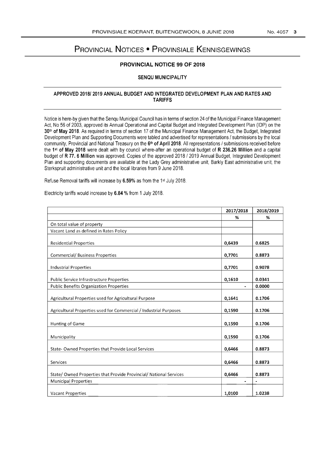# PROVINCIAL NOTICES • PROVINSIALE KENNISGEWINGS

## PROVINCIAL NOTICE 99 OF 2018

#### SENQU MUNICIPALITY

#### APPROVED 2018/2019 ANNUAL BUDGET AND INTEGRATED DEVELOPMENT PLAN AND RATES AND TARIFFS

Notice is here-by given that the Senqu Municipal Council has in terms of section 24 of the Municipal Finance Management Act, No 56 of 2003, approved its Annual Operational and Capital Budget and Integrated Development Plan (IDP) on the 30<sup>th</sup> of May 2018. As required in terms of section 17 of the Municipal Finance Management Act, the Budget, Integrated Development Plan and Supporting Documents were tabled and advertised for representations / submissions by the local community, Provincial and National Treasury on the 6<sup>th</sup> of April 2018. All representations / submissions received before the 1<sup>st</sup> of May 2018 were dealt with by council where-after an operational budget of R 236.26 Million and a capital budget of R 77. 6 Million was approved. Copies of the approved 2018 / 2019 Annual Budget, Integrated Development Plan and supporting documents are available at the Lady Grey administrative unit, Barkly East administrative unit, the Sterkspruit administrative unit and the local libraries from 9 June 2018.

Refuse Removal tariffs will increase by 6.59% as from the 1<sup>st</sup> July 2018.

Electricity tariffs would increase by 6.84 % from 1 July 2018.

|                                                                    | 2017/2018 | 2018/2019 |
|--------------------------------------------------------------------|-----------|-----------|
|                                                                    | %         | ℅         |
| On total value of property                                         |           |           |
| Vacant Land as defined in Rates Policy                             |           |           |
| <b>Residential Properties</b>                                      | 0,6439    | 0.6825    |
| <b>Commercial/ Business Properties</b>                             | 0,7701    | 0.8873    |
| <b>Industrial Properties</b>                                       | 0,7701    | 0.9078    |
| Public Service Infrastructure Properties                           | 0,1610    | 0.0341    |
| <b>Public Benefits Organization Properties</b>                     |           | 0.0000    |
| Agricultural Properties used for Agricultural Purpose              | 0,1641    | 0.1706    |
| Agricultural Properties used for Commercial / Industrial Purposes  | 0,1590    | 0.1706    |
| Hunting of Game                                                    | 0,1590    | 0.1706    |
| Municipality                                                       | 0,1590    | 0.1706    |
| State- Owned Properties that Provide Local Services                | 0,6466    | 0.8873    |
| Services                                                           | 0,6466    | 0.8873    |
| State/ Owned Properties that Provide Provincial/ National Services | 0,6466    | 0.8873    |
| <b>Municipal Properties</b>                                        |           |           |
| <b>Vacant Properties</b>                                           | 1,0100    | 1.0238    |